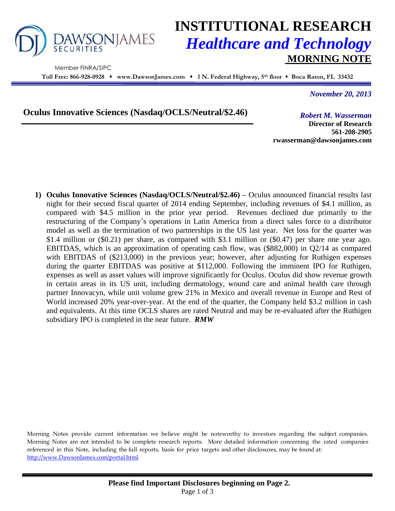

Member FINRA/SIPC

# **INSTITUTIONAL RESEARCH** *Healthcare and Technology* **MORNING NOTE**

**Toll Free: 866-928-0928 www.DawsonJames.com 1 N. Federal Highway, 5 th floor Boca Raton, FL 33432**

*November 20, 2013*

**Oculus Innovative Sciences (Nasdaq/OCLS/Neutral/\$2.46)**

*Robert M. Wasserman*

**Director of Research 561-208-2905 rwasserman@dawsonjames.com**

**1) Oculus Innovative Sciences (Nasdaq/OCLS/Neutral/\$2.46) –** Oculus announced financial results last night for their second fiscal quarter of 2014 ending September, including revenues of \$4.1 million, as compared with \$4.5 million in the prior year period. Revenues declined due primarily to the restructuring of the Company's operations in Latin America from a direct sales force to a distributor model as well as the termination of two partnerships in the US last year. Net loss for the quarter was \$1.4 million or (\$0.21) per share, as compared with \$3.1 million or (\$0.47) per share one year ago. EBITDAS, which is an approximation of operating cash flow, was (\$882,000) in Q2/14 as compared with EBITDAS of (\$213,000) in the previous year; however, after adjusting for Ruthigen expenses during the quarter EBITDAS was positive at \$112,000. Following the imminent IPO for Ruthigen, expenses as well as asset values will improve significantly for Oculus. Oculus did show revenue growth in certain areas in its US unit, including dermatology, wound care and animal health care through partner Innovacyn, while unit volume grew 21% in Mexico and overall revenue in Europe and Rest of World increased 20% year-over-year. At the end of the quarter, the Company held \$3.2 million in cash and equivalents. At this time OCLS shares are rated Neutral and may be re-evaluated after the Ruthigen subsidiary IPO is completed in the near future. *RMW*

Morning Notes provide current information we believe might be noteworthy to investors regarding the subject companies. Morning Notes are not intended to be complete research reports. More detailed information concerning the rated companies referenced in this Note, including the full reports, basis for price targets and other disclosures, may be found at: [http://www.DawsonJames.com/portal.html.](http://www.dawsonjames.com/portal.html)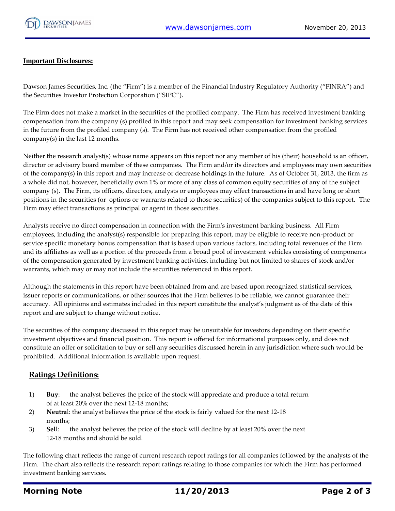

#### **Important Disclosures:**

Dawson James Securities, Inc. (the "Firm") is a member of the Financial Industry Regulatory Authority ("FINRA") and the Securities Investor Protection Corporation ("SIPC").

The Firm does not make a market in the securities of the profiled company. The Firm has received investment banking compensation from the company (s) profiled in this report and may seek compensation for investment banking services in the future from the profiled company (s). The Firm has not received other compensation from the profiled company(s) in the last 12 months.

Neither the research analyst(s) whose name appears on this report nor any member of his (their) household is an officer, director or advisory board member of these companies. The Firm and/or its directors and employees may own securities of the company(s) in this report and may increase or decrease holdings in the future. As of October 31, 2013, the firm as a whole did not, however, beneficially own 1% or more of any class of common equity securities of any of the subject company (s). The Firm, its officers, directors, analysts or employees may effect transactions in and have long or short positions in the securities (or options or warrants related to those securities) of the companies subject to this report. The Firm may effect transactions as principal or agent in those securities.

Analysts receive no direct compensation in connection with the Firm's investment banking business. All Firm employees, including the analyst(s) responsible for preparing this report, may be eligible to receive non-product or service specific monetary bonus compensation that is based upon various factors, including total revenues of the Firm and its affiliates as well as a portion of the proceeds from a broad pool of investment vehicles consisting of components of the compensation generated by investment banking activities, including but not limited to shares of stock and/or warrants, which may or may not include the securities referenced in this report.

Although the statements in this report have been obtained from and are based upon recognized statistical services, issuer reports or communications, or other sources that the Firm believes to be reliable, we cannot guarantee their accuracy. All opinions and estimates included in this report constitute the analyst's judgment as of the date of this report and are subject to change without notice.

The securities of the company discussed in this report may be unsuitable for investors depending on their specific investment objectives and financial position. This report is offered for informational purposes only, and does not constitute an offer or solicitation to buy or sell any securities discussed herein in any jurisdiction where such would be prohibited. Additional information is available upon request.

### **Ratings Definitions:**

- 1) **Buy**: the analyst believes the price of the stock will appreciate and produce a total return of at least 20% over the next 12-18 months;
- 2) **Neutra**l: the analyst believes the price of the stock is fairly valued for the next 12-18 months;
- 3) **Sel**l: the analyst believes the price of the stock will decline by at least 20% over the next 12-18 months and should be sold.

The following chart reflects the range of current research report ratings for all companies followed by the analysts of the Firm. The chart also reflects the research report ratings relating to those companies for which the Firm has performed investment banking services.

## **Morning Note 11/20/2013 Page 2 of 3**